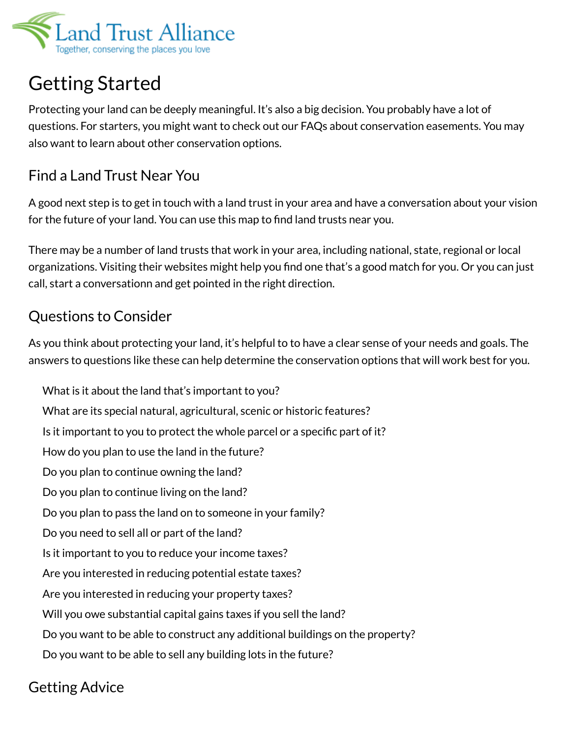

## Getting Started

Protecting your land can be deeply meaningful. It's also a big decision. You probably have a lot of questions. For starters, you might want to check out our FAQs about conservation easements. You may also want to learn about other conservation options.

## Find a Land Trust Near You

A good next step is to get in touch with a land trust in your area and have a conversation about your vision for the future of your land. You can use this map to find land trusts near you.

There may be a number of land trusts that work in your area, including national, state, regional or local organizations. Visiting their websites might help you find one that's a good match for you. Or you can just call, start a conversationn and get pointed in the right direction.

## Questions to Consider

As you think about protecting your land, it's helpful to to have a clear sense of your needs and goals. The answers to questions like these can help determine the conservation options that will work best for you.

What is it about the land that's important to you? What are its special natural, agricultural, scenic or historic features? Is it important to you to protect the whole parcel or a specific part of it? How do you plan to use the land in the future? Do you plan to continue owning the land? Do you plan to continue living on the land? Do you plan to pass the land on to someone in your family? Do you need to sell all or part of the land? Is it important to you to reduce your income taxes? Are you interested in reducing potential estate taxes? Are you interested in reducing your property taxes? Will you owe substantial capital gains taxes if you sell the land? Do you want to be able to construct any additional buildings on the property? Do you want to be able to sell any building lots in the future?

## Getting Advice